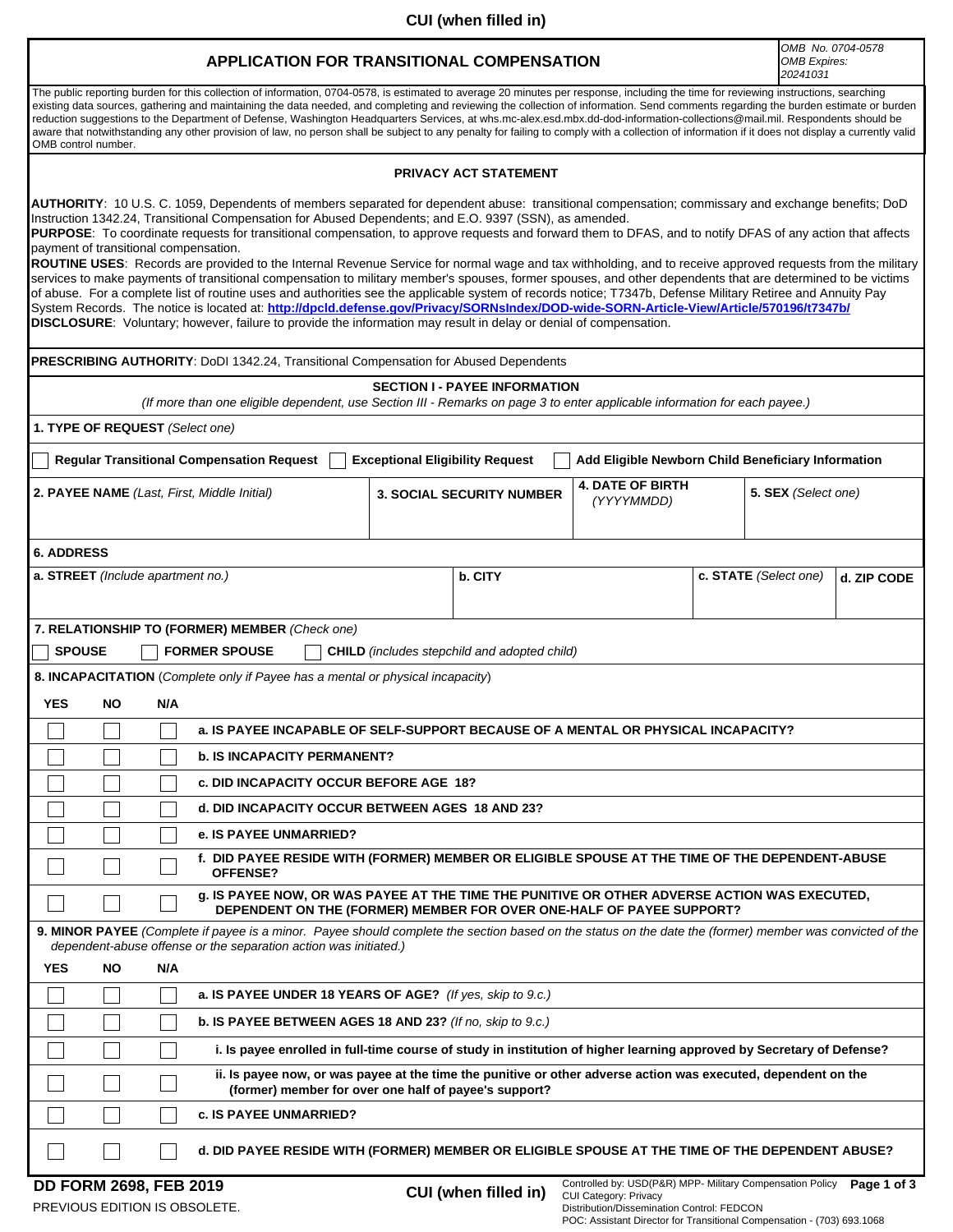**CUI (when filled in)**

|                                                                                                                                                                                                                                                                                                                                                                                                                                                                                                                                                                                                                                                                                                                                                                                                                                                                                                                                                                                                                                                                                                                                                                                                                                       | APPLICATION FOR TRANSITIONAL COMPENSATION                                                                                                                                               |                                       | OMB No. 0704-0578<br><b>OMB Expires:</b><br>20241031                     |  |  |  |  |
|---------------------------------------------------------------------------------------------------------------------------------------------------------------------------------------------------------------------------------------------------------------------------------------------------------------------------------------------------------------------------------------------------------------------------------------------------------------------------------------------------------------------------------------------------------------------------------------------------------------------------------------------------------------------------------------------------------------------------------------------------------------------------------------------------------------------------------------------------------------------------------------------------------------------------------------------------------------------------------------------------------------------------------------------------------------------------------------------------------------------------------------------------------------------------------------------------------------------------------------|-----------------------------------------------------------------------------------------------------------------------------------------------------------------------------------------|---------------------------------------|--------------------------------------------------------------------------|--|--|--|--|
| The public reporting burden for this collection of information, 0704-0578, is estimated to average 20 minutes per response, including the time for reviewing instructions, searching<br>existing data sources, gathering and maintaining the data needed, and completing and reviewing the collection of information. Send comments regarding the burden estimate or burden<br>reduction suggestions to the Department of Defense, Washington Headquarters Services, at whs.mc-alex.esd.mbx.dd-dod-information-collections@mail.mil. Respondents should be<br>aware that notwithstanding any other provision of law, no person shall be subject to any penalty for failing to comply with a collection of information if it does not display a currently valid<br>OMB control number.                                                                                                                                                                                                                                                                                                                                                                                                                                                 |                                                                                                                                                                                         |                                       |                                                                          |  |  |  |  |
|                                                                                                                                                                                                                                                                                                                                                                                                                                                                                                                                                                                                                                                                                                                                                                                                                                                                                                                                                                                                                                                                                                                                                                                                                                       | <b>PRIVACY ACT STATEMENT</b>                                                                                                                                                            |                                       |                                                                          |  |  |  |  |
| AUTHORITY: 10 U.S. C. 1059, Dependents of members separated for dependent abuse: transitional compensation; commissary and exchange benefits; DoD<br>Instruction 1342.24, Transitional Compensation for Abused Dependents; and E.O. 9397 (SSN), as amended.<br>PURPOSE: To coordinate requests for transitional compensation, to approve requests and forward them to DFAS, and to notify DFAS of any action that affects<br>payment of transitional compensation.<br>ROUTINE USES: Records are provided to the Internal Revenue Service for normal wage and tax withholding, and to receive approved requests from the military<br>services to make payments of transitional compensation to military member's spouses, former spouses, and other dependents that are determined to be victims<br>of abuse. For a complete list of routine uses and authorities see the applicable system of records notice; T7347b, Defense Military Retiree and Annuity Pay<br>System Records. The notice is located at: http://dpcld.defense.gov/Privacy/SORNsIndex/DOD-wide-SORN-Article-View/Article/570196/t7347b/<br><b>DISCLOSURE:</b> Voluntary; however, failure to provide the information may result in delay or denial of compensation. |                                                                                                                                                                                         |                                       |                                                                          |  |  |  |  |
| <b>PRESCRIBING AUTHORITY:</b> DoDI 1342.24, Transitional Compensation for Abused Dependents                                                                                                                                                                                                                                                                                                                                                                                                                                                                                                                                                                                                                                                                                                                                                                                                                                                                                                                                                                                                                                                                                                                                           |                                                                                                                                                                                         |                                       |                                                                          |  |  |  |  |
| (If more than one eligible dependent, use Section III - Remarks on page 3 to enter applicable information for each payee.)                                                                                                                                                                                                                                                                                                                                                                                                                                                                                                                                                                                                                                                                                                                                                                                                                                                                                                                                                                                                                                                                                                            | <b>SECTION I - PAYEE INFORMATION</b>                                                                                                                                                    |                                       |                                                                          |  |  |  |  |
| 1. TYPE OF REQUEST (Select one)                                                                                                                                                                                                                                                                                                                                                                                                                                                                                                                                                                                                                                                                                                                                                                                                                                                                                                                                                                                                                                                                                                                                                                                                       |                                                                                                                                                                                         |                                       |                                                                          |  |  |  |  |
| <b>Regular Transitional Compensation Request</b>                                                                                                                                                                                                                                                                                                                                                                                                                                                                                                                                                                                                                                                                                                                                                                                                                                                                                                                                                                                                                                                                                                                                                                                      | <b>Exceptional Eligibility Request</b>                                                                                                                                                  |                                       | Add Eligible Newborn Child Beneficiary Information                       |  |  |  |  |
| 2. PAYEE NAME (Last, First, Middle Initial)                                                                                                                                                                                                                                                                                                                                                                                                                                                                                                                                                                                                                                                                                                                                                                                                                                                                                                                                                                                                                                                                                                                                                                                           | <b>3. SOCIAL SECURITY NUMBER</b>                                                                                                                                                        | <b>4. DATE OF BIRTH</b><br>(YYYYMMDD) | 5. SEX (Select one)<br>$\vert \mathbf{v} \vert$                          |  |  |  |  |
| <b>6. ADDRESS</b>                                                                                                                                                                                                                                                                                                                                                                                                                                                                                                                                                                                                                                                                                                                                                                                                                                                                                                                                                                                                                                                                                                                                                                                                                     |                                                                                                                                                                                         |                                       |                                                                          |  |  |  |  |
| a. STREET (Include apartment no.)                                                                                                                                                                                                                                                                                                                                                                                                                                                                                                                                                                                                                                                                                                                                                                                                                                                                                                                                                                                                                                                                                                                                                                                                     | b. CITY                                                                                                                                                                                 |                                       | c. STATE (Select one)<br>d. ZIP CODE                                     |  |  |  |  |
| 7. RELATIONSHIP TO (FORMER) MEMBER (Check one)<br><b>SPOUSE</b><br><b>FORMER SPOUSE</b>                                                                                                                                                                                                                                                                                                                                                                                                                                                                                                                                                                                                                                                                                                                                                                                                                                                                                                                                                                                                                                                                                                                                               | <b>CHILD</b> (includes stepchild and adopted child)                                                                                                                                     |                                       |                                                                          |  |  |  |  |
| 8. INCAPACITATION (Complete only if Payee has a mental or physical incapacity)                                                                                                                                                                                                                                                                                                                                                                                                                                                                                                                                                                                                                                                                                                                                                                                                                                                                                                                                                                                                                                                                                                                                                        |                                                                                                                                                                                         |                                       |                                                                          |  |  |  |  |
| <b>YES</b><br><b>NO</b><br>N/A<br>$\overline{\phantom{0}}$<br>$\overline{\phantom{0}}$                                                                                                                                                                                                                                                                                                                                                                                                                                                                                                                                                                                                                                                                                                                                                                                                                                                                                                                                                                                                                                                                                                                                                |                                                                                                                                                                                         |                                       |                                                                          |  |  |  |  |
|                                                                                                                                                                                                                                                                                                                                                                                                                                                                                                                                                                                                                                                                                                                                                                                                                                                                                                                                                                                                                                                                                                                                                                                                                                       | a. IS PAYEE INCAPABLE OF SELF-SUPPORT BECAUSE OF A MENTAL OR PHYSICAL INCAPACITY?                                                                                                       |                                       |                                                                          |  |  |  |  |
| <b>b. IS INCAPACITY PERMANENT?</b>                                                                                                                                                                                                                                                                                                                                                                                                                                                                                                                                                                                                                                                                                                                                                                                                                                                                                                                                                                                                                                                                                                                                                                                                    |                                                                                                                                                                                         |                                       |                                                                          |  |  |  |  |
| c. DID INCAPACITY OCCUR BEFORE AGE 18?<br>d. DID INCAPACITY OCCUR BETWEEN AGES 18 AND 23?                                                                                                                                                                                                                                                                                                                                                                                                                                                                                                                                                                                                                                                                                                                                                                                                                                                                                                                                                                                                                                                                                                                                             |                                                                                                                                                                                         |                                       |                                                                          |  |  |  |  |
| e. IS PAYEE UNMARRIED?                                                                                                                                                                                                                                                                                                                                                                                                                                                                                                                                                                                                                                                                                                                                                                                                                                                                                                                                                                                                                                                                                                                                                                                                                |                                                                                                                                                                                         |                                       |                                                                          |  |  |  |  |
|                                                                                                                                                                                                                                                                                                                                                                                                                                                                                                                                                                                                                                                                                                                                                                                                                                                                                                                                                                                                                                                                                                                                                                                                                                       | f. DID PAYEE RESIDE WITH (FORMER) MEMBER OR ELIGIBLE SPOUSE AT THE TIME OF THE DEPENDENT-ABUSE                                                                                          |                                       |                                                                          |  |  |  |  |
|                                                                                                                                                                                                                                                                                                                                                                                                                                                                                                                                                                                                                                                                                                                                                                                                                                                                                                                                                                                                                                                                                                                                                                                                                                       | <b>OFFENSE?</b><br>g. IS PAYEE NOW, OR WAS PAYEE AT THE TIME THE PUNITIVE OR OTHER ADVERSE ACTION WAS EXECUTED,<br>DEPENDENT ON THE (FORMER) MEMBER FOR OVER ONE-HALF OF PAYEE SUPPORT? |                                       |                                                                          |  |  |  |  |
| 9. MINOR PAYEE (Complete if payee is a minor. Payee should complete the section based on the status on the date the (former) member was convicted of the<br>dependent-abuse offense or the separation action was initiated.)                                                                                                                                                                                                                                                                                                                                                                                                                                                                                                                                                                                                                                                                                                                                                                                                                                                                                                                                                                                                          |                                                                                                                                                                                         |                                       |                                                                          |  |  |  |  |
| <b>NO</b><br>N/A<br><b>YES</b>                                                                                                                                                                                                                                                                                                                                                                                                                                                                                                                                                                                                                                                                                                                                                                                                                                                                                                                                                                                                                                                                                                                                                                                                        |                                                                                                                                                                                         |                                       |                                                                          |  |  |  |  |
|                                                                                                                                                                                                                                                                                                                                                                                                                                                                                                                                                                                                                                                                                                                                                                                                                                                                                                                                                                                                                                                                                                                                                                                                                                       | a. IS PAYEE UNDER 18 YEARS OF AGE? (If yes, skip to 9.c.)                                                                                                                               |                                       |                                                                          |  |  |  |  |
|                                                                                                                                                                                                                                                                                                                                                                                                                                                                                                                                                                                                                                                                                                                                                                                                                                                                                                                                                                                                                                                                                                                                                                                                                                       | <b>b. IS PAYEE BETWEEN AGES 18 AND 23?</b> (If no, skip to 9.c.)                                                                                                                        |                                       |                                                                          |  |  |  |  |
|                                                                                                                                                                                                                                                                                                                                                                                                                                                                                                                                                                                                                                                                                                                                                                                                                                                                                                                                                                                                                                                                                                                                                                                                                                       | i. Is payee enrolled in full-time course of study in institution of higher learning approved by Secretary of Defense?                                                                   |                                       |                                                                          |  |  |  |  |
|                                                                                                                                                                                                                                                                                                                                                                                                                                                                                                                                                                                                                                                                                                                                                                                                                                                                                                                                                                                                                                                                                                                                                                                                                                       | ii. Is payee now, or was payee at the time the punitive or other adverse action was executed, dependent on the<br>(former) member for over one half of payee's support?                 |                                       |                                                                          |  |  |  |  |
| <b>c. IS PAYEE UNMARRIED?</b>                                                                                                                                                                                                                                                                                                                                                                                                                                                                                                                                                                                                                                                                                                                                                                                                                                                                                                                                                                                                                                                                                                                                                                                                         |                                                                                                                                                                                         |                                       |                                                                          |  |  |  |  |
|                                                                                                                                                                                                                                                                                                                                                                                                                                                                                                                                                                                                                                                                                                                                                                                                                                                                                                                                                                                                                                                                                                                                                                                                                                       | d. DID PAYEE RESIDE WITH (FORMER) MEMBER OR ELIGIBLE SPOUSE AT THE TIME OF THE DEPENDENT ABUSE?                                                                                         |                                       |                                                                          |  |  |  |  |
| <b>DD FORM 2698, FEB 2019</b>                                                                                                                                                                                                                                                                                                                                                                                                                                                                                                                                                                                                                                                                                                                                                                                                                                                                                                                                                                                                                                                                                                                                                                                                         | CIII (whan fillad in)                                                                                                                                                                   |                                       | Controlled by: USD(P&R) MPP- Military Compensation Policy<br>Page 1 of 3 |  |  |  |  |

PREVIOUS EDITION IS OBSOLETE.

**CUI (when filled in)** Controlled by: USD(P&R) MPP- Military Compensation Policy Page 1 of 3<br>Distribution/Dissemination Control: FEDCON POC: Assistant Director for Transitional Compensation - (703) 693.1068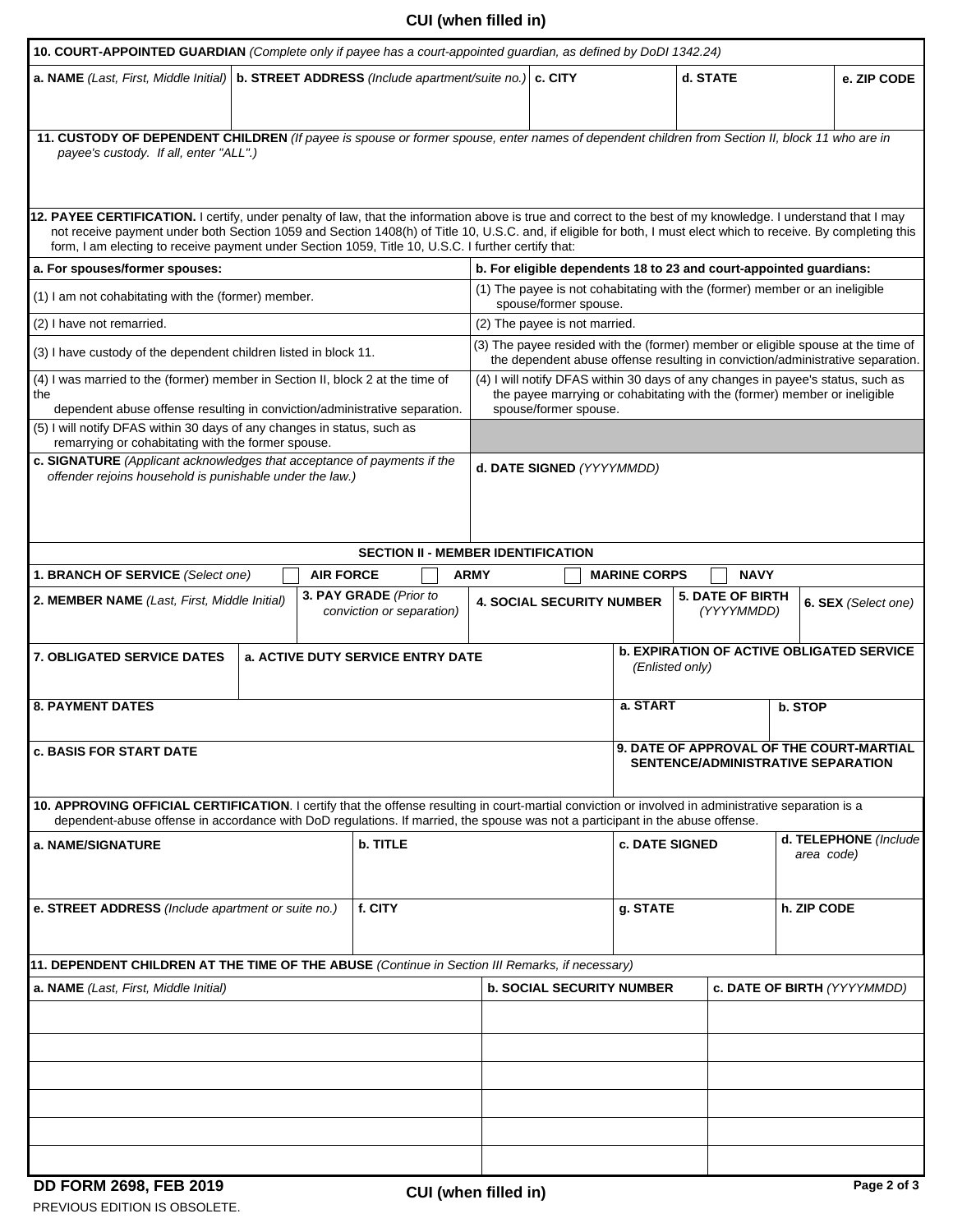## **CUI (when filled in)**

| 10. COURT-APPOINTED GUARDIAN (Complete only if payee has a court-appointed guardian, as defined by DoDI 1342.24)                                                                                                                                                                                                                                                                                                                         |  |                  |                                                                                                      |                                                                                                                                                                    |                             |                     |             |                     |  |
|------------------------------------------------------------------------------------------------------------------------------------------------------------------------------------------------------------------------------------------------------------------------------------------------------------------------------------------------------------------------------------------------------------------------------------------|--|------------------|------------------------------------------------------------------------------------------------------|--------------------------------------------------------------------------------------------------------------------------------------------------------------------|-----------------------------|---------------------|-------------|---------------------|--|
| a. NAME (Last, First, Middle Initial)   b. STREET ADDRESS (Include apartment/suite no.)   c. CITY                                                                                                                                                                                                                                                                                                                                        |  |                  |                                                                                                      |                                                                                                                                                                    |                             | d. STATE            |             | e. ZIP CODE         |  |
|                                                                                                                                                                                                                                                                                                                                                                                                                                          |  |                  |                                                                                                      |                                                                                                                                                                    |                             |                     |             |                     |  |
| 11. CUSTODY OF DEPENDENT CHILDREN (If payee is spouse or former spouse, enter names of dependent children from Section II, block 11 who are in<br>payee's custody. If all, enter "ALL".)                                                                                                                                                                                                                                                 |  |                  |                                                                                                      |                                                                                                                                                                    |                             |                     |             |                     |  |
|                                                                                                                                                                                                                                                                                                                                                                                                                                          |  |                  |                                                                                                      |                                                                                                                                                                    |                             |                     |             |                     |  |
|                                                                                                                                                                                                                                                                                                                                                                                                                                          |  |                  |                                                                                                      |                                                                                                                                                                    |                             |                     |             |                     |  |
| 12. PAYEE CERTIFICATION. I certify, under penalty of law, that the information above is true and correct to the best of my knowledge. I understand that I may<br>not receive payment under both Section 1059 and Section 1408(h) of Title 10, U.S.C. and, if eligible for both, I must elect which to receive. By completing this<br>form, I am electing to receive payment under Section 1059, Title 10, U.S.C. I further certify that: |  |                  |                                                                                                      |                                                                                                                                                                    |                             |                     |             |                     |  |
| a. For spouses/former spouses:                                                                                                                                                                                                                                                                                                                                                                                                           |  |                  | b. For eligible dependents 18 to 23 and court-appointed guardians:                                   |                                                                                                                                                                    |                             |                     |             |                     |  |
| (1) I am not cohabitating with the (former) member.                                                                                                                                                                                                                                                                                                                                                                                      |  |                  | (1) The payee is not cohabitating with the (former) member or an ineligible<br>spouse/former spouse. |                                                                                                                                                                    |                             |                     |             |                     |  |
| (2) I have not remarried.                                                                                                                                                                                                                                                                                                                                                                                                                |  |                  |                                                                                                      | (2) The payee is not married.                                                                                                                                      |                             |                     |             |                     |  |
| (3) I have custody of the dependent children listed in block 11.                                                                                                                                                                                                                                                                                                                                                                         |  |                  |                                                                                                      | (3) The payee resided with the (former) member or eligible spouse at the time of<br>the dependent abuse offense resulting in conviction/administrative separation. |                             |                     |             |                     |  |
| (4) I was married to the (former) member in Section II, block 2 at the time of<br>the                                                                                                                                                                                                                                                                                                                                                    |  |                  |                                                                                                      | (4) I will notify DFAS within 30 days of any changes in payee's status, such as<br>the payee marrying or cohabitating with the (former) member or ineligible       |                             |                     |             |                     |  |
| dependent abuse offense resulting in conviction/administrative separation.<br>(5) I will notify DFAS within 30 days of any changes in status, such as                                                                                                                                                                                                                                                                                    |  |                  |                                                                                                      | spouse/former spouse.                                                                                                                                              |                             |                     |             |                     |  |
| remarrying or cohabitating with the former spouse.<br>c. SIGNATURE (Applicant acknowledges that acceptance of payments if the                                                                                                                                                                                                                                                                                                            |  |                  |                                                                                                      |                                                                                                                                                                    |                             |                     |             |                     |  |
| offender rejoins household is punishable under the law.)                                                                                                                                                                                                                                                                                                                                                                                 |  |                  |                                                                                                      |                                                                                                                                                                    | d. DATE SIGNED (YYYYMMDD)   |                     |             |                     |  |
|                                                                                                                                                                                                                                                                                                                                                                                                                                          |  |                  |                                                                                                      |                                                                                                                                                                    |                             |                     |             |                     |  |
|                                                                                                                                                                                                                                                                                                                                                                                                                                          |  |                  |                                                                                                      |                                                                                                                                                                    |                             |                     |             |                     |  |
|                                                                                                                                                                                                                                                                                                                                                                                                                                          |  |                  | <b>SECTION II - MEMBER IDENTIFICATION</b>                                                            |                                                                                                                                                                    |                             |                     |             |                     |  |
| 1. BRANCH OF SERVICE (Select one)                                                                                                                                                                                                                                                                                                                                                                                                        |  | <b>AIR FORCE</b> | <b>ARMY</b>                                                                                          |                                                                                                                                                                    |                             | <b>MARINE CORPS</b> | <b>NAVY</b> |                     |  |
| 2. MEMBER NAME (Last, First, Middle Initial)                                                                                                                                                                                                                                                                                                                                                                                             |  |                  | 3. PAY GRADE (Prior to<br>conviction or separation)                                                  | <b>5. DATE OF BIRTH</b><br><b>4. SOCIAL SECURITY NUMBER</b><br>(YYYYMMDD)                                                                                          |                             |                     |             | 6. SEX (Select one) |  |
|                                                                                                                                                                                                                                                                                                                                                                                                                                          |  |                  |                                                                                                      |                                                                                                                                                                    |                             |                     |             |                     |  |
| <b>7. OBLIGATED SERVICE DATES</b>                                                                                                                                                                                                                                                                                                                                                                                                        |  |                  | a. ACTIVE DUTY SERVICE ENTRY DATE                                                                    | <b>b. EXPIRATION OF ACTIVE OBLIGATED SERVICE</b><br>(Enlisted only)                                                                                                |                             |                     |             |                     |  |
| <b>8. PAYMENT DATES</b>                                                                                                                                                                                                                                                                                                                                                                                                                  |  |                  |                                                                                                      |                                                                                                                                                                    |                             | a. START            |             | b. STOP             |  |
| <b>c. BASIS FOR START DATE</b>                                                                                                                                                                                                                                                                                                                                                                                                           |  |                  |                                                                                                      | 9. DATE OF APPROVAL OF THE COURT-MARTIAL                                                                                                                           |                             |                     |             |                     |  |
|                                                                                                                                                                                                                                                                                                                                                                                                                                          |  |                  |                                                                                                      | SENTENCE/ADMINISTRATIVE SEPARATION<br>$\overline{\phantom{a}}$                                                                                                     |                             |                     |             |                     |  |
| 10. APPROVING OFFICIAL CERTIFICATION. I certify that the offense resulting in court-martial conviction or involved in administrative separation is a                                                                                                                                                                                                                                                                                     |  |                  |                                                                                                      |                                                                                                                                                                    |                             |                     |             |                     |  |
| dependent-abuse offense in accordance with DoD regulations. If married, the spouse was not a participant in the abuse offense.<br>b. TITLE<br>c. DATE SIGNED<br>a. NAME/SIGNATURE                                                                                                                                                                                                                                                        |  |                  |                                                                                                      |                                                                                                                                                                    | d. TELEPHONE (Include)      |                     |             |                     |  |
|                                                                                                                                                                                                                                                                                                                                                                                                                                          |  |                  |                                                                                                      |                                                                                                                                                                    |                             |                     |             | area code)          |  |
|                                                                                                                                                                                                                                                                                                                                                                                                                                          |  |                  |                                                                                                      |                                                                                                                                                                    |                             |                     |             |                     |  |
| e. STREET ADDRESS (Include apartment or suite no.)                                                                                                                                                                                                                                                                                                                                                                                       |  |                  | f. CITY                                                                                              | h. ZIP CODE<br>g. STATE<br>$\blacktriangledown$                                                                                                                    |                             |                     |             |                     |  |
| 11. DEPENDENT CHILDREN AT THE TIME OF THE ABUSE (Continue in Section III Remarks, if necessary)                                                                                                                                                                                                                                                                                                                                          |  |                  |                                                                                                      |                                                                                                                                                                    |                             |                     |             |                     |  |
| a. NAME (Last, First, Middle Initial)                                                                                                                                                                                                                                                                                                                                                                                                    |  |                  | <b>b. SOCIAL SECURITY NUMBER</b>                                                                     |                                                                                                                                                                    | c. DATE OF BIRTH (YYYYMMDD) |                     |             |                     |  |
|                                                                                                                                                                                                                                                                                                                                                                                                                                          |  |                  |                                                                                                      |                                                                                                                                                                    |                             |                     |             |                     |  |
|                                                                                                                                                                                                                                                                                                                                                                                                                                          |  |                  |                                                                                                      |                                                                                                                                                                    |                             |                     |             |                     |  |
|                                                                                                                                                                                                                                                                                                                                                                                                                                          |  |                  |                                                                                                      |                                                                                                                                                                    |                             |                     |             |                     |  |
|                                                                                                                                                                                                                                                                                                                                                                                                                                          |  |                  |                                                                                                      |                                                                                                                                                                    |                             |                     |             |                     |  |
|                                                                                                                                                                                                                                                                                                                                                                                                                                          |  |                  |                                                                                                      |                                                                                                                                                                    |                             |                     |             |                     |  |
|                                                                                                                                                                                                                                                                                                                                                                                                                                          |  |                  |                                                                                                      |                                                                                                                                                                    |                             |                     |             |                     |  |